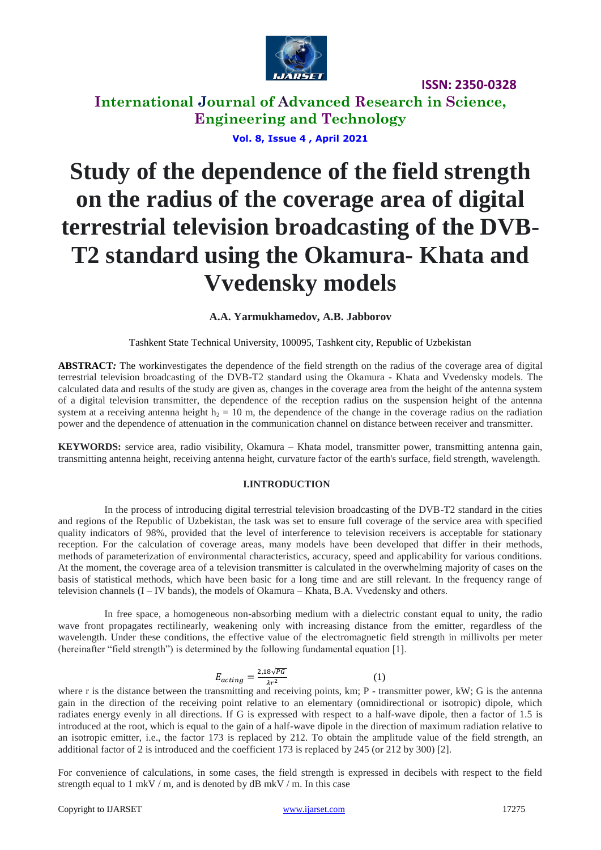

**International Journal of Advanced Research in Science, Engineering and Technology**

### **Vol. 8, Issue 4 , April 2021**

# **Study of the dependence of the field strength on the radius of the coverage area of digital terrestrial television broadcasting of the DVB-T2 standard using the Okamura- Khata and Vvedensky models**

### **A.A. Yarmukhamedov, A.B. Jabborov**

Tashkent State Technical University, 100095, Tashkent city, Republic of Uzbekistan

**ABSTRACT***:* The workinvestigates the dependence of the field strength on the radius of the coverage area of digital terrestrial television broadcasting of the DVB-T2 standard using the Okamura - Khata and Vvedensky models. The calculated data and results of the study are given as, changes in the coverage area from the height of the antenna system of a digital television transmitter, the dependence of the reception radius on the suspension height of the antenna system at a receiving antenna height  $h_2 = 10$  m, the dependence of the change in the coverage radius on the radiation power and the dependence of attenuation in the communication channel on distance between receiver and transmitter.

**KEYWORDS:** service area, radio visibility, Okamura – Khata model, transmitter power, transmitting antenna gain, transmitting antenna height, receiving antenna height, curvature factor of the earth's surface, field strength, wavelength.

#### **I.INTRODUCTION**

In the process of introducing digital terrestrial television broadcasting of the DVB-T2 standard in the cities and regions of the Republic of Uzbekistan, the task was set to ensure full coverage of the service area with specified quality indicators of 98%, provided that the level of interference to television receivers is acceptable for stationary reception. For the calculation of coverage areas, many models have been developed that differ in their methods, methods of parameterization of environmental characteristics, accuracy, speed and applicability for various conditions. At the moment, the coverage area of a television transmitter is calculated in the overwhelming majority of cases on the basis of statistical methods, which have been basic for a long time and are still relevant. In the frequency range of television channels  $(I - IV$  bands), the models of Okamura – Khata, B.A. Vvedensky and others.

In free space, a homogeneous non-absorbing medium with a dielectric constant equal to unity, the radio wave front propagates rectilinearly, weakening only with increasing distance from the emitter, regardless of the wavelength. Under these conditions, the effective value of the electromagnetic field strength in millivolts per meter (hereinafter "field strength") is determined by the following fundamental equation [1].

$$
E_{acting} = \frac{2.18\sqrt{PG}}{\lambda r^2} \tag{1}
$$

where r is the distance between the transmitting and receiving points, km; P - transmitter power, kW; G is the antenna gain in the direction of the receiving point relative to an elementary (omnidirectional or isotropic) dipole, which radiates energy evenly in all directions. If G is expressed with respect to a half-wave dipole, then a factor of 1.5 is introduced at the root, which is equal to the gain of a half-wave dipole in the direction of maximum radiation relative to an isotropic emitter, i.e., the factor 173 is replaced by 212. To obtain the amplitude value of the field strength, an additional factor of 2 is introduced and the coefficient 173 is replaced by 245 (or 212 by 300) [2].

For convenience of calculations, in some cases, the field strength is expressed in decibels with respect to the field strength equal to 1 mkV / m, and is denoted by  $\text{dB}$  mkV / m. In this case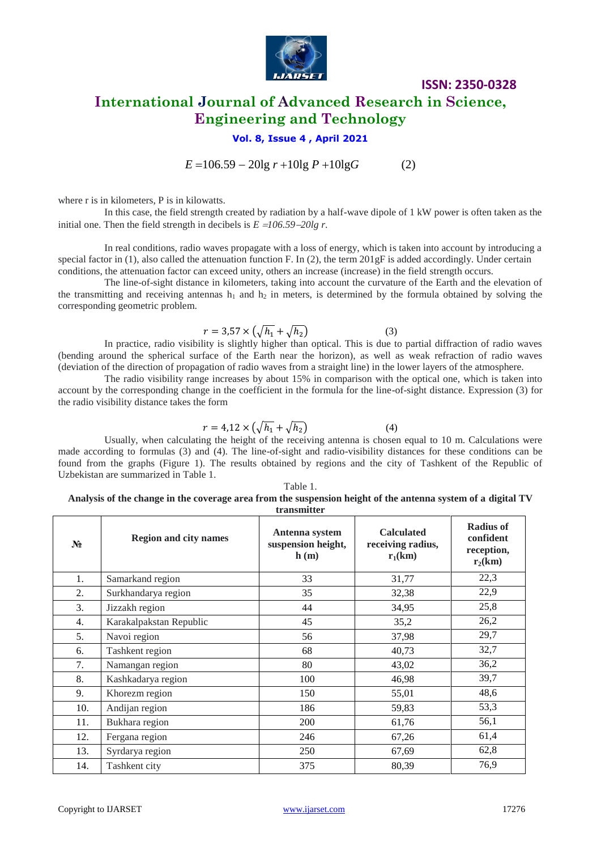

### **ISSN: 2350-0328 International Journal of Advanced Research in Science, Engineering and Technology**

### **Vol. 8, Issue 4 , April 2021**

 $E = 106.59 - 20\lg r + 10\lg P + 10\lg G$  (2)

where r is in kilometers, P is in kilowatts.

In this case, the field strength created by radiation by a half-wave dipole of 1 kW power is often taken as the initial one. Then the field strength in decibels is  $E = 106.59 - 20$ lg r.

In real conditions, radio waves propagate with a loss of energy, which is taken into account by introducing a special factor in (1), also called the attenuation function F. In (2), the term 201gF is added accordingly. Under certain conditions, the attenuation factor can exceed unity, others an increase (increase) in the field strength occurs.

The line-of-sight distance in kilometers, taking into account the curvature of the Earth and the elevation of the transmitting and receiving antennas  $h_1$  and  $h_2$  in meters, is determined by the formula obtained by solving the corresponding geometric problem.

$$
r = 3.57 \times \left(\sqrt{h_1} + \sqrt{h_2}\right) \tag{3}
$$

In practice, radio visibility is slightly higher than optical. This is due to partial diffraction of radio waves (bending around the spherical surface of the Earth near the horizon), as well as weak refraction of radio waves (deviation of the direction of propagation of radio waves from a straight line) in the lower layers of the atmosphere.

The radio visibility range increases by about 15% in comparison with the optical one, which is taken into account by the corresponding change in the coefficient in the formula for the line-of-sight distance. Expression (3) for the radio visibility distance takes the form

$$
r = 4.12 \times \left(\sqrt{h_1} + \sqrt{h_2}\right) \tag{4}
$$

Usually, when calculating the height of the receiving antenna is chosen equal to 10 m. Calculations were made according to formulas (3) and (4). The line-of-sight and radio-visibility distances for these conditions can be found from the graphs (Figure 1). The results obtained by regions and the city of Tashkent of the Republic of Uzbekistan are summarized in Table 1.

Table 1. **Analysis of the change in the coverage area from the suspension height of the antenna system of a digital TV transmitter**

| $N_2$            | <b>Region and city names</b> | Antenna system<br>suspension height,<br>h(m) | <b>Calculated</b><br>receiving radius,<br>$r_1(km)$ | <b>Radius of</b><br>confident<br>reception,<br>$r_2(km)$ |
|------------------|------------------------------|----------------------------------------------|-----------------------------------------------------|----------------------------------------------------------|
| 1.               | Samarkand region             | 33                                           | 31,77                                               | 22,3                                                     |
| 2.               | Surkhandarya region          | 35                                           | 32,38                                               | 22,9                                                     |
| 3.               | Jizzakh region               | 44                                           | 34,95                                               | 25,8                                                     |
| $\overline{4}$ . | Karakalpakstan Republic      | 45                                           | 35,2                                                | 26,2                                                     |
| 5.               | Navoi region                 | 56                                           | 37,98                                               | 29,7                                                     |
| 6.               | Tashkent region              | 68                                           | 40,73                                               | 32,7                                                     |
| 7.               | Namangan region              | 80                                           | 43,02                                               | 36,2                                                     |
| 8.               | Kashkadarya region           | 100                                          | 46,98                                               | 39,7                                                     |
| 9.               | Khorezm region               | 150                                          | 55,01                                               | 48,6                                                     |
| 10.              | Andijan region               | 186                                          | 59,83                                               | 53,3                                                     |
| 11.              | Bukhara region               | 200                                          | 61,76                                               | 56,1                                                     |
| 12.              | Fergana region               | 246                                          | 67,26                                               | 61,4                                                     |
| 13.              | Syrdarya region              | 250                                          | 67,69                                               | 62,8                                                     |
| 14.              | Tashkent city                | 375                                          | 80,39                                               | 76,9                                                     |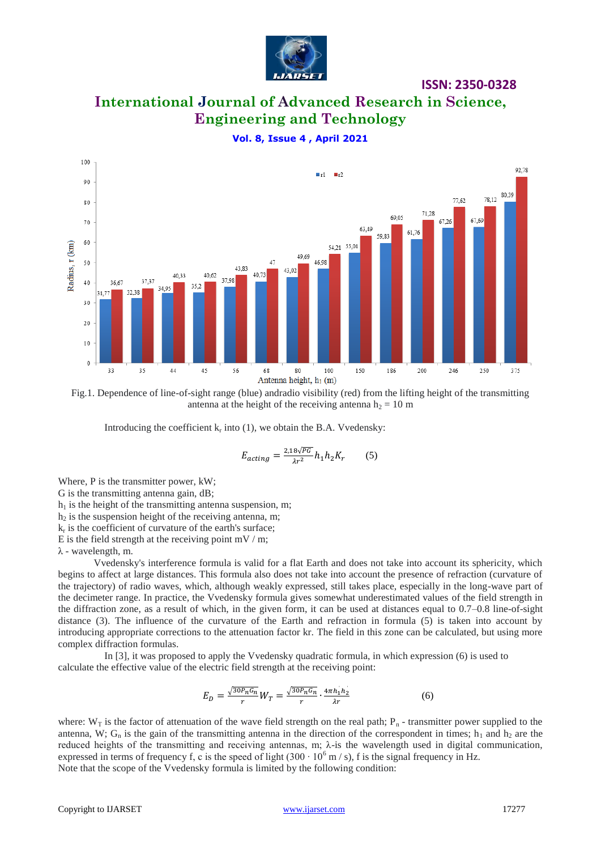

# **International Journal of Advanced Research in Science, Engineering and Technology**

**Vol. 8, Issue 4 , April 2021**



Fig.1. Dependence of line-of-sight range (blue) andradio visibility (red) from the lifting height of the transmitting antenna at the height of the receiving antenna  $h<sub>2</sub> = 10$  m

Introducing the coefficient  $k_r$  into (1), we obtain the B.A. Vvedensky:

$$
E_{acting} = \frac{2.18\sqrt{PG}}{\lambda r^2} h_1 h_2 K_r \tag{5}
$$

Where, P is the transmitter power, kW;

G is the transmitting antenna gain, dB;

 $h_1$  is the height of the transmitting antenna suspension, m;

 $h_2$  is the suspension height of the receiving antenna, m;

 $k_r$  is the coefficient of curvature of the earth's surface;

E is the field strength at the receiving point  $mV/m$ ;

λ - wavelength, m.

Vvedensky's interference formula is valid for a flat Earth and does not take into account its sphericity, which begins to affect at large distances. This formula also does not take into account the presence of refraction (curvature of the trajectory) of radio waves, which, although weakly expressed, still takes place, especially in the long-wave part of the decimeter range. In practice, the Vvedensky formula gives somewhat underestimated values of the field strength in the diffraction zone, as a result of which, in the given form, it can be used at distances equal to 0.7–0.8 line-of-sight distance (3). The influence of the curvature of the Earth and refraction in formula (5) is taken into account by introducing appropriate corrections to the attenuation factor kr. The field in this zone can be calculated, but using more complex diffraction formulas.

In [3], it was proposed to apply the Vvedensky quadratic formula, in which expression (6) is used to calculate the effective value of the electric field strength at the receiving point:

$$
E_D = \frac{\sqrt{30P_nG_n}}{r}W_T = \frac{\sqrt{30P_nG_n}}{r} \cdot \frac{4\pi h_1 h_2}{\lambda r}
$$
(6)

where:  $W_T$  is the factor of attenuation of the wave field strength on the real path;  $P_n$ -transmitter power supplied to the antenna, W;  $G_n$  is the gain of the transmitting antenna in the direction of the correspondent in times;  $h_1$  and  $h_2$  are the reduced heights of the transmitting and receiving antennas, m;  $\lambda$ -is the wavelength used in digital communication, expressed in terms of frequency f, c is the speed of light  $(300 \cdot 10^6 \text{ m/s})$ , f is the signal frequency in Hz. Note that the scope of the Vvedensky formula is limited by the following condition: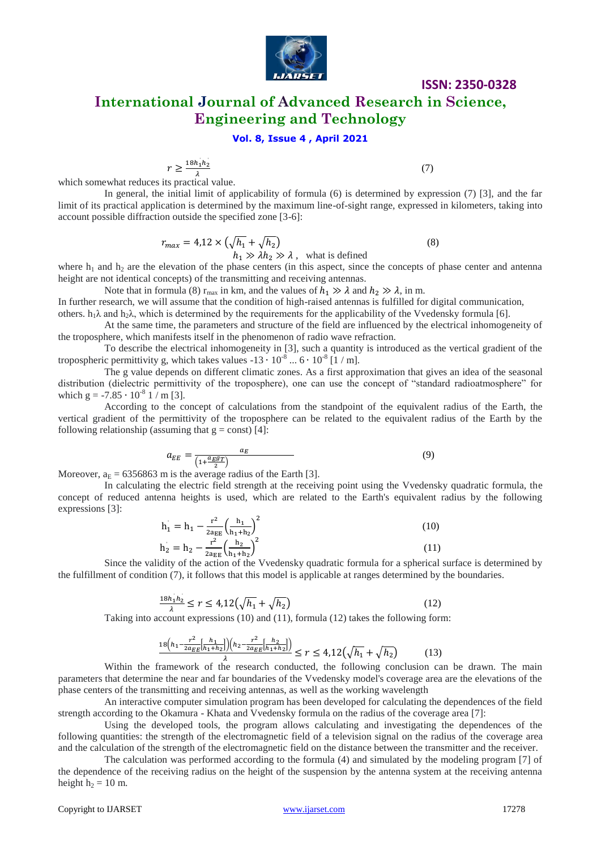

**International Journal of Advanced Research in Science, Engineering and Technology**

### **Vol. 8, Issue 4 , April 2021**

$$
r \ge \frac{18h_1h_2}{2}
$$

(7)

which somewhat reduces its practical value.

In general, the initial limit of applicability of formula (6) is determined by expression (7) [3], and the far limit of its practical application is determined by the maximum line-of-sight range, expressed in kilometers, taking into account possible diffraction outside the specified zone [3-6]:

$$
r_{max} = 4.12 \times \left(\sqrt{h_1} + \sqrt{h_2}\right)
$$
  
\n
$$
h_1 \gg \lambda h_2 \gg \lambda
$$
, what is defined (8)

where  $h_1$  and  $h_2$  are the elevation of the phase centers (in this aspect, since the concepts of phase center and antenna height are not identical concepts) of the transmitting and receiving antennas.

Note that in formula (8)  $r_{\text{max}}$  in km, and the values of  $h_1 \gg \lambda$  and  $h_2 \gg \lambda$ , in m.

In further research, we will assume that the condition of high-raised antennas is fulfilled for digital communication, others.  $h_1\lambda$  and  $h_2\lambda$ , which is determined by the requirements for the applicability of the Vvedensky formula [6].

At the same time, the parameters and structure of the field are influenced by the electrical inhomogeneity of the troposphere, which manifests itself in the phenomenon of radio wave refraction.

To describe the electrical inhomogeneity in [3], such a quantity is introduced as the vertical gradient of the tropospheric permittivity g, which takes values  $-13 \cdot 10^{-8}$  ...  $6 \cdot 10^{-8}$  [1 / m].

The g value depends on different climatic zones. As a first approximation that gives an idea of the seasonal distribution (dielectric permittivity of the troposphere), one can use the concept of "standard radioatmosphere" for which g =  $-7.85 \cdot 10^{-8}$  1 / m [3].

According to the concept of calculations from the standpoint of the equivalent radius of the Earth, the vertical gradient of the permittivity of the troposphere can be related to the equivalent radius of the Earth by the following relationship (assuming that  $g = const$ ) [4]:

$$
a_{EE} = \frac{a_E}{\left(1 + \frac{a_E g_T}{2}\right)}\tag{9}
$$

Moreover,  $a_E = 6356863$  m is the average radius of the Earth [3].

In calculating the electric field strength at the receiving point using the Vvedensky quadratic formula, the concept of reduced antenna heights is used, which are related to the Earth's equivalent radius by the following expressions [3]:

$$
h_1 = h_1 - \frac{r^2}{2a_{EE}} \left(\frac{h_1}{h_1 + h_2}\right)^2
$$
  
\n
$$
h_2 = h_2 - \frac{r^2}{2a_{EE}} \left(\frac{h_2}{h_1 + h_2}\right)^2
$$
\n(10)

Since the validity of the action of the Vvedensky quadratic formula for a spherical surface is determined by the fulfillment of condition (7), it follows that this model is applicable at ranges determined by the boundaries.

$$
\frac{18h_1h_2}{\lambda} \le r \le 4.12(\sqrt{h_1} + \sqrt{h_2})
$$
\n(12)

Taking into account expressions (10) and (11), formula (12) takes the following form:

$$
\frac{18\left(h_1 - \frac{r^2}{2a_{EE}}\left[\frac{h_1}{h_1 + h_2}\right]\right)\left(h_2 - \frac{r^2}{2a_{EE}}\left[\frac{h_2}{h_1 + h_2}\right]\right)}{\lambda} \le r \le 4,12\left(\sqrt{h_1} + \sqrt{h_2}\right) \tag{13}
$$

Within the framework of the research conducted, the following conclusion can be drawn. The main parameters that determine the near and far boundaries of the Vvedensky model's coverage area are the elevations of the phase centers of the transmitting and receiving antennas, as well as the working wavelength

An interactive computer simulation program has been developed for calculating the dependences of the field strength according to the Okamura - Khata and Vvedensky formula on the radius of the coverage area [7]:

Using the developed tools, the program allows calculating and investigating the dependences of the following quantities: the strength of the electromagnetic field of a television signal on the radius of the coverage area and the calculation of the strength of the electromagnetic field on the distance between the transmitter and the receiver.

The calculation was performed according to the formula (4) and simulated by the modeling program [7] of the dependence of the receiving radius on the height of the suspension by the antenna system at the receiving antenna height  $h_2 = 10$  m.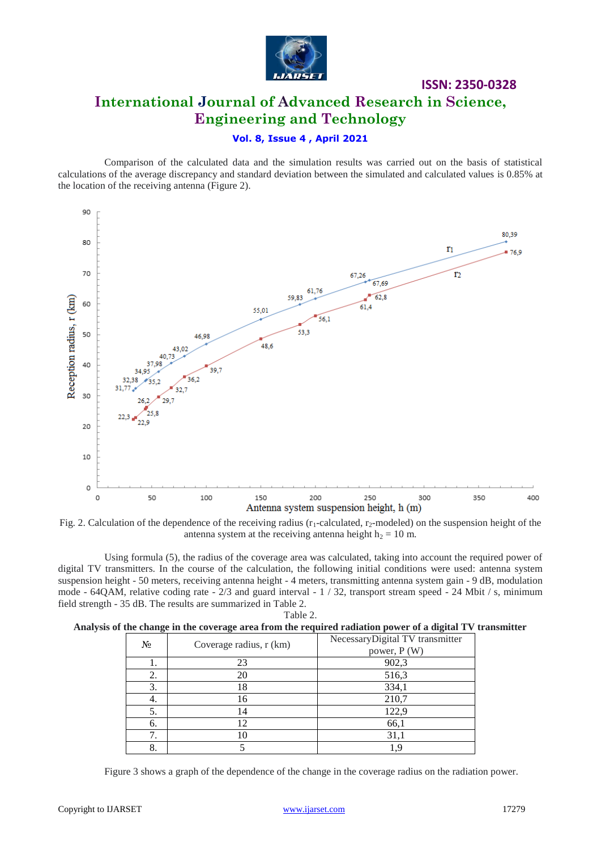

# **ISSN: 2350-0328 International Journal of Advanced Research in Science, Engineering and Technology**

### **Vol. 8, Issue 4 , April 2021**

Comparison of the calculated data and the simulation results was carried out on the basis of statistical calculations of the average discrepancy and standard deviation between the simulated and calculated values is 0.85% at the location of the receiving antenna (Figure 2).



Fig. 2. Calculation of the dependence of the receiving radius  $(r_1$ -calculated,  $r_2$ -modeled) on the suspension height of the antenna system at the receiving antenna height  $h_2 = 10$  m.

Using formula (5), the radius of the coverage area was calculated, taking into account the required power of digital TV transmitters. In the course of the calculation, the following initial conditions were used: antenna system suspension height - 50 meters, receiving antenna height - 4 meters, transmitting antenna system gain - 9 dB, modulation mode - 64QAM, relative coding rate - 2/3 and guard interval - 1 / 32, transport stream speed - 24 Mbit / s, minimum field strength - 35 dB. The results are summarized in Table 2. Table 2.

|  |  |  |  |  |  |  | Analysis of the change in the coverage area from the required radiation power of a digital TV transmitter |
|--|--|--|--|--|--|--|-----------------------------------------------------------------------------------------------------------|
|  |  |  |  |  |  |  |                                                                                                           |
|  |  |  |  |  |  |  |                                                                                                           |
|  |  |  |  |  |  |  |                                                                                                           |

| $N_2$ | Coverage radius, r (km) | NecessaryDigital TV transmitter<br>power, P (W) |  |  |  |  |
|-------|-------------------------|-------------------------------------------------|--|--|--|--|
|       | 23                      | 902,3                                           |  |  |  |  |
| ۷.    | 20                      | 516,3                                           |  |  |  |  |
|       | 18                      | 334,1                                           |  |  |  |  |
| 4.    | 16                      | 210,7                                           |  |  |  |  |
| 5.    | ι4                      | 122,9                                           |  |  |  |  |
| 6.    | $\mathcal{D}$           | 66,1                                            |  |  |  |  |
|       | 10                      | 31,1                                            |  |  |  |  |
|       |                         |                                                 |  |  |  |  |

Figure 3 shows a graph of the dependence of the change in the coverage radius on the radiation power.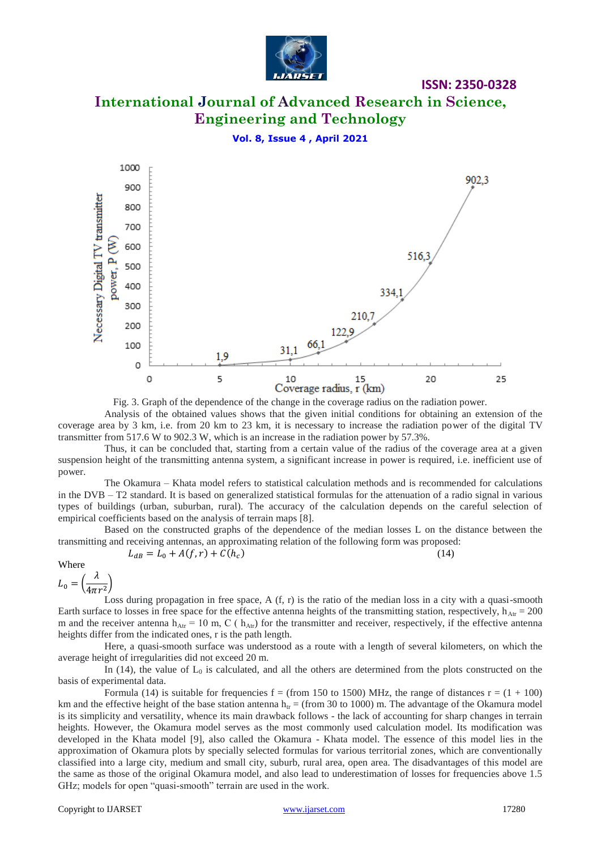

# **International Journal of Advanced Research in Science, Engineering and Technology**

**ISSN: 2350-0328**

**Vol. 8, Issue 4 , April 2021**



Fig. 3. Graph of the dependence of the change in the coverage radius on the radiation power.

Analysis of the obtained values shows that the given initial conditions for obtaining an extension of the coverage area by 3 km, i.e. from 20 km to 23 km, it is necessary to increase the radiation power of the digital TV transmitter from 517.6 W to 902.3 W, which is an increase in the radiation power by 57.3%.

Thus, it can be concluded that, starting from a certain value of the radius of the coverage area at a given suspension height of the transmitting antenna system, a significant increase in power is required, i.e. inefficient use of power.

The Okamura – Khata model refers to statistical calculation methods and is recommended for calculations in the DVB – T2 standard. It is based on generalized statistical formulas for the attenuation of a radio signal in various types of buildings (urban, suburban, rural). The accuracy of the calculation depends on the careful selection of empirical coefficients based on the analysis of terrain maps [8].

Based on the constructed graphs of the dependence of the median losses L on the distance between the transmitting and receiving antennas, an approximating relation of the following form was proposed:

$$
L_{dB} = L_0 + A(f, r) + C(h_c)
$$

$$
B = L_0 + A(f, r) + C(h_c)
$$
 (14)

Where

$$
L_0 = \left(\frac{\lambda}{4\pi r^2}\right)
$$

Loss during propagation in free space, A  $(f, r)$  is the ratio of the median loss in a city with a quasi-smooth Earth surface to losses in free space for the effective antenna heights of the transmitting station, respectively,  $h_{\text{Art}} = 200$ m and the receiver antenna  $h_{\text{Art}} = 10$  m, C ( $h_{\text{Art}}$ ) for the transmitter and receiver, respectively, if the effective antenna heights differ from the indicated ones, r is the path length.

Here, a quasi-smooth surface was understood as a route with a length of several kilometers, on which the average height of irregularities did not exceed 20 m.

In (14), the value of  $L_0$  is calculated, and all the others are determined from the plots constructed on the basis of experimental data.

Formula (14) is suitable for frequencies  $f = (from 150 to 1500) MHz$ , the range of distances  $r = (1 + 100)$ km and the effective height of the base station antenna  $h_{tr} = (from 30 to 1000)$  m. The advantage of the Okamura model is its simplicity and versatility, whence its main drawback follows - the lack of accounting for sharp changes in terrain heights. However, the Okamura model serves as the most commonly used calculation model. Its modification was developed in the Khata model [9], also called the Okamura - Khata model. The essence of this model lies in the approximation of Okamura plots by specially selected formulas for various territorial zones, which are conventionally classified into a large city, medium and small city, suburb, rural area, open area. The disadvantages of this model are the same as those of the original Okamura model, and also lead to underestimation of losses for frequencies above 1.5 GHz; models for open "quasi-smooth" terrain are used in the work.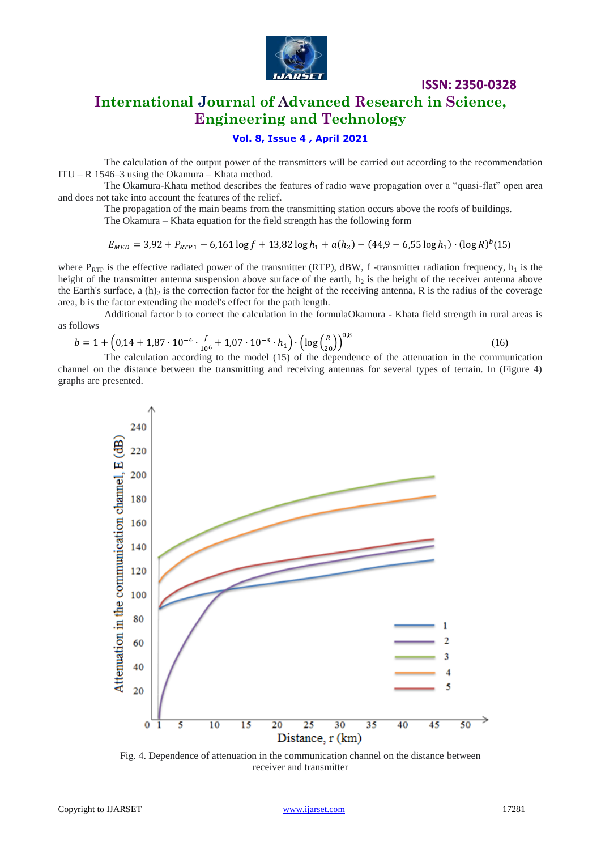

### **International Journal of Advanced Research in Science, Engineering and Technology**

### **Vol. 8, Issue 4 , April 2021**

The calculation of the output power of the transmitters will be carried out according to the recommendation ITU – R 1546–3 using the Okamura – Khata method.

The Okamura-Khata method describes the features of radio wave propagation over a "quasi-flat" open area and does not take into account the features of the relief.

The propagation of the main beams from the transmitting station occurs above the roofs of buildings.

The Okamura – Khata equation for the field strength has the following form

$$
E_{MED} = 3.92 + P_{RTP1} - 6.161 \log f + 13.82 \log h_1 + a(h_2) - (44.9 - 6.55 \log h_1) \cdot (\log R)^{b}(15)
$$

where  $P_{RTP}$  is the effective radiated power of the transmitter (RTP), dBW, f -transmitter radiation frequency,  $h_1$  is the height of the transmitter antenna suspension above surface of the earth,  $h_2$  is the height of the receiver antenna above the Earth's surface, a  $(h)$ <sub>2</sub> is the correction factor for the height of the receiving antenna, R is the radius of the coverage area, b is the factor extending the model's effect for the path length.

Additional factor b to correct the calculation in the formulaOkamura - Khata field strength in rural areas is as follows

$$
b = 1 + \left(0.14 + 1.87 \cdot 10^{-4} \cdot \frac{f}{10^6} + 1.07 \cdot 10^{-3} \cdot h_1\right) \cdot \left(\log\left(\frac{R}{20}\right)\right)^{0.8}
$$
  
The calculation according to the model (15) of the dependence of the attenuation in the communication

channel on the distance between the transmitting and receiving antennas for several types of terrain. In (Figure 4) graphs are presented.



Fig. 4. Dependence of attenuation in the communication channel on the distance between receiver and transmitter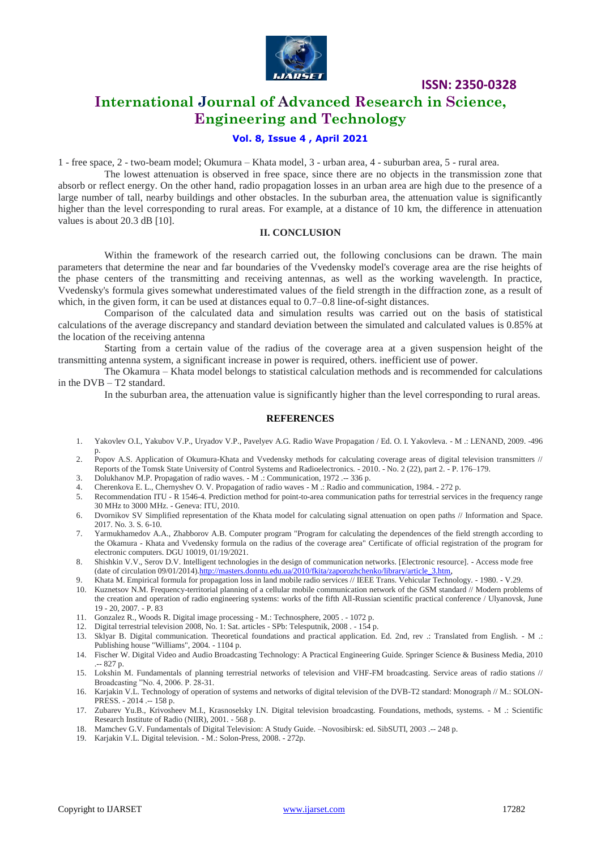

## **International Journal of Advanced Research in Science, Engineering and Technology**

### **Vol. 8, Issue 4 , April 2021**

1 - free space, 2 - two-beam model; Okumura – Khata model, 3 - urban area, 4 - suburban area, 5 - rural area.

The lowest attenuation is observed in free space, since there are no objects in the transmission zone that absorb or reflect energy. On the other hand, radio propagation losses in an urban area are high due to the presence of a large number of tall, nearby buildings and other obstacles. In the suburban area, the attenuation value is significantly higher than the level corresponding to rural areas. For example, at a distance of 10 km, the difference in attenuation values is about 20.3 dB [10].

#### **II. CONCLUSION**

Within the framework of the research carried out, the following conclusions can be drawn. The main parameters that determine the near and far boundaries of the Vvedensky model's coverage area are the rise heights of the phase centers of the transmitting and receiving antennas, as well as the working wavelength. In practice, Vvedensky's formula gives somewhat underestimated values of the field strength in the diffraction zone, as a result of which, in the given form, it can be used at distances equal to  $0.7{\text -}0.8$  line-of-sight distances.

Comparison of the calculated data and simulation results was carried out on the basis of statistical calculations of the average discrepancy and standard deviation between the simulated and calculated values is 0.85% at the location of the receiving antenna

Starting from a certain value of the radius of the coverage area at a given suspension height of the transmitting antenna system, a significant increase in power is required, others. inefficient use of power.

The Okamura – Khata model belongs to statistical calculation methods and is recommended for calculations in the DVB – T2 standard.

In the suburban area, the attenuation value is significantly higher than the level corresponding to rural areas.

### **REFERENCES**

- 1. Yakovlev O.I., Yakubov V.P., Uryadov V.P., Pavelyev A.G. Radio Wave Propagation / Ed. O. I. Yakovleva. M .: LENAND, 2009. -496 p.
- 2. Popov A.S. Application of Okumura-Khata and Vvedensky methods for calculating coverage areas of digital television transmitters // Reports of the Tomsk State University of Control Systems and Radioelectronics. - 2010. - No. 2 (22), part 2. - P. 176–179.
- 3. Dolukhanov M.P. Propagation of radio waves. M .: Communication, 1972 .-- 336 p.
- 4. Cherenkova E. L., Chernyshev O. V. Propagation of radio waves M .: Radio and communication, 1984. 272 p.
- 5. Recommendation ITU R 1546-4. Prediction method for point-to-area communication paths for terrestrial services in the frequency range 30 MHz to 3000 MHz. - Geneva: ITU, 2010.
- 6. Dvornikov SV Simplified representation of the Khata model for calculating signal attenuation on open paths // Information and Space. 2017. No. 3. S. 6-10.
- 7. Yarmukhamedov A.A., Zhabborov A.B. Computer program "Program for calculating the dependences of the field strength according to the Okamura - Khata and Vvedensky formula on the radius of the coverage area" Certificate of official registration of the program for electronic computers. DGU 10019, 01/19/2021.
- 8. Shishkin V.V., Serov D.V. Intelligent technologies in the design of communication networks. [Electronic resource]. Access mode free (date of circulation 09/01/2014).http://masters.donntu.edu.ua/2010/fkita/zaporozhchenko/library/article\_3.htm
- 9. Khata M. Empirical formula for propagation loss in land mobile radio services // IEEE Trans. Vehicular Technology. 1980. V.29.
- 10. Kuznetsov N.M. Frequency-territorial planning of a cellular mobile communication network of the GSM standard // Modern problems of the creation and operation of radio engineering systems: works of the fifth All-Russian scientific practical conference / Ulyanovsk, June 19 - 20, 2007. - P. 83
- 11. Gonzalez R., Woods R. Digital image processing M.: Technosphere, 2005 . 1072 p.
- 12. Digital terrestrial television 2008, No. 1: Sat. articles SPb: Telesputnik, 2008 . 154 p.
- 13. Sklyar B. Digital communication. Theoretical foundations and practical application. Ed. 2nd, rev .: Translated from English. M .: Publishing house "Williams", 2004. - 1104 p.
- 14. Fischer W. Digital Video and Audio Broadcasting Technology: A Practical Engineering Guide. Springer Science & Business Media, 2010 .-- 827 p.
- 15. Lokshin M. Fundamentals of planning terrestrial networks of television and VHF-FM broadcasting. Service areas of radio stations // Broadcasting "No. 4, 2006. P. 28-31.
- 16. Karjakin V.L. Technology of operation of systems and networks of digital television of the DVB-T2 standard: Monograph // M.: SOLON-PRESS. - 2014 .-- 158 p.
- 17. Zubarev Yu.B., Krivosheev M.I., Krasnoselsky I.N. Digital television broadcasting. Foundations, methods, systems. M .: Scientific Research Institute of Radio (NIIR), 2001. - 568 p.
- 18. Mamchev G.V. Fundamentals of Digital Television: A Study Guide. –Novosibirsk: ed. SibSUTI, 2003 .-- 248 p.
- 19. Karjakin V.L. Digital television. M.: Solon-Press, 2008. 272p.